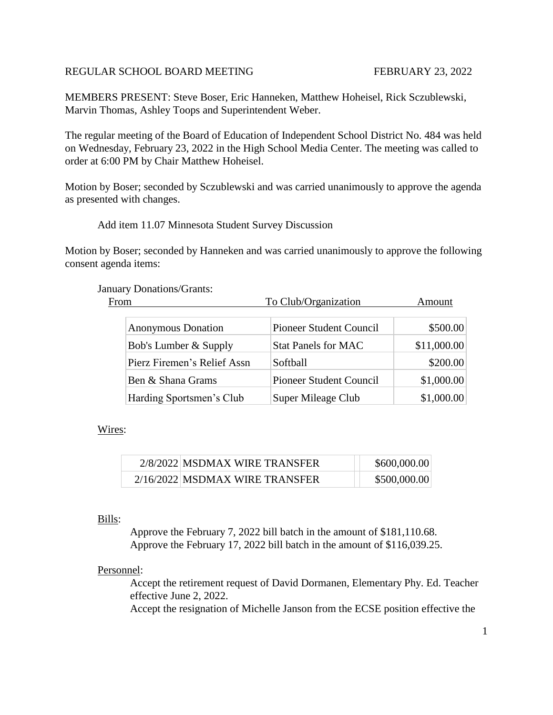# REGULAR SCHOOL BOARD MEETING FEBRUARY 23, 2022

MEMBERS PRESENT: Steve Boser, Eric Hanneken, Matthew Hoheisel, Rick Sczublewski, Marvin Thomas, Ashley Toops and Superintendent Weber.

The regular meeting of the Board of Education of Independent School District No. 484 was held on Wednesday, February 23, 2022 in the High School Media Center. The meeting was called to order at 6:00 PM by Chair Matthew Hoheisel.

Motion by Boser; seconded by Sczublewski and was carried unanimously to approve the agenda as presented with changes.

## Add item 11.07 Minnesota Student Survey Discussion

Motion by Boser; seconded by Hanneken and was carried unanimously to approve the following consent agenda items:

#### January Donations/Grants:

| From                        | To Club/Organization           | Amount      |
|-----------------------------|--------------------------------|-------------|
| <b>Anonymous Donation</b>   | <b>Pioneer Student Council</b> | \$500.00    |
| Bob's Lumber & Supply       | <b>Stat Panels for MAC</b>     | \$11,000.00 |
| Pierz Firemen's Relief Assn | Softball                       | \$200.00    |
| Ben & Shana Grams           | <b>Pioneer Student Council</b> | \$1,000.00  |
| Harding Sportsmen's Club    | Super Mileage Club             | \$1,000.00  |

## Wires:

| 2/8/2022 MSDMAX WIRE TRANSFER  | \$600,000.00 |
|--------------------------------|--------------|
| 2/16/2022 MSDMAX WIRE TRANSFER | \$500,000.00 |

#### Bills:

Approve the February 7, 2022 bill batch in the amount of \$181,110.68. Approve the February 17, 2022 bill batch in the amount of \$116,039.25.

## Personnel:

Accept the retirement request of David Dormanen, Elementary Phy. Ed. Teacher effective June 2, 2022.

Accept the resignation of Michelle Janson from the ECSE position effective the